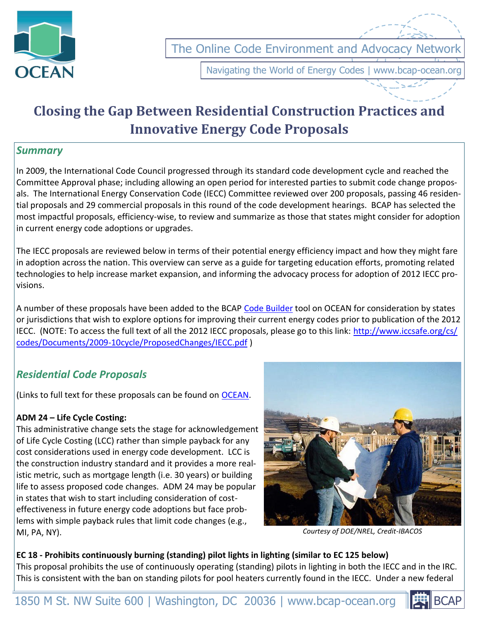

The Online Code Environment and Advocacy Networ

Navigating the World of Energy Codes | www.bcap-ocean.org

# **Closing the Gap Between Residential Construction Practices and Innovative Energy Code Proposals**

## *Summary*

In 2009, the International Code Council progressed through its standard code development cycle and reached the Committee Approval phase; including allowing an open period for interested parties to submit code change proposals. The International Energy Conservation Code (IECC) Committee reviewed over 200 proposals, passing 46 residential proposals and 29 commercial proposals in this round of the code development hearings. BCAP has selected the most impactful proposals, efficiency-wise, to review and summarize as those that states might consider for adoption in current energy code adoptions or upgrades.

The IECC proposals are reviewed below in terms of their potential energy efficiency impact and how they might fare in adoption across the nation. This overview can serve as a guide for targeting education efforts, promoting related technologies to help increase market expansion, and informing the advocacy process for adoption of 2012 IECC provisions.

A number of these proposals have been added to the BCAP [Code Builder](http://bcap-ocean.org/node/243) tool on OCEAN for consideration by states or jurisdictions that wish to explore options for improving their current energy codes prior to publication of the 2012 IECC. (NOTE: To access the full text of all the 2012 IECC proposals, please go to this link: [http://www.iccsafe.org/cs/](http://www.iccsafe.org/cs/codes/Documents/2009-10cycle/ProposedChanges/IECC.pdf) [codes/Documents/2009-10cycle/ProposedChanges/IECC.pdf](http://www.iccsafe.org/cs/codes/Documents/2009-10cycle/ProposedChanges/IECC.pdf) )

## *Residential Code Proposals*

(Links to full text for these proposals can be found on [OCEAN.](http://bcap-ocean.org/resource/2012-iecc-proposals-residential)

## **ADM 24 – Life Cycle Costing:**

This administrative change sets the stage for acknowledgement of Life Cycle Costing (LCC) rather than simple payback for any cost considerations used in energy code development. LCC is the construction industry standard and it provides a more realistic metric, such as mortgage length (i.e. 30 years) or building life to assess proposed code changes. ADM 24 may be popular in states that wish to start including consideration of costeffectiveness in future energy code adoptions but face problems with simple payback rules that limit code changes (e.g., MI, PA, NY).



*Courtesy of DOE/NREL, Credit-IBACOS*

**EC 18 - Prohibits continuously burning (standing) pilot lights in lighting (similar to EC 125 below)** This proposal prohibits the use of continuously operating (standing) pilots in lighting in both the IECC and in the IRC. This is consistent with the ban on standing pilots for pool heaters currently found in the IECC. Under a new federal

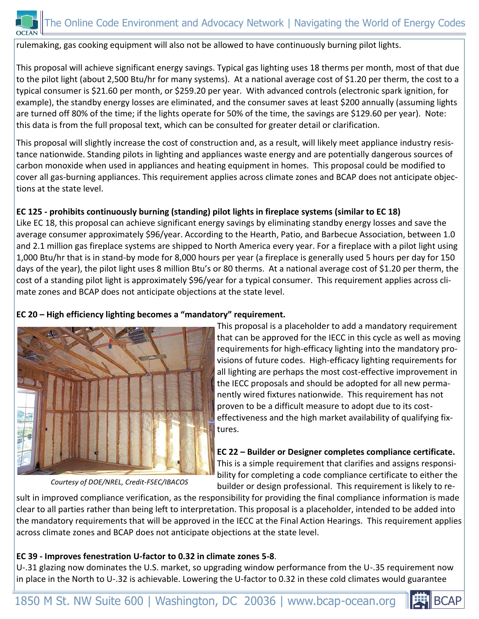

rulemaking, gas cooking equipment will also not be allowed to have continuously burning pilot lights.

This proposal will achieve significant energy savings. Typical gas lighting uses 18 therms per month, most of that due to the pilot light (about 2,500 Btu/hr for many systems). At a national average cost of \$1.20 per therm, the cost to a typical consumer is \$21.60 per month, or \$259.20 per year. With advanced controls (electronic spark ignition, for example), the standby energy losses are eliminated, and the consumer saves at least \$200 annually (assuming lights are turned off 80% of the time; if the lights operate for 50% of the time, the savings are \$129.60 per year). Note: this data is from the full proposal text, which can be consulted for greater detail or clarification.

This proposal will slightly increase the cost of construction and, as a result, will likely meet appliance industry resistance nationwide. Standing pilots in lighting and appliances waste energy and are potentially dangerous sources of carbon monoxide when used in appliances and heating equipment in homes. This proposal could be modified to cover all gas-burning appliances. This requirement applies across climate zones and BCAP does not anticipate objections at the state level.

## **EC 125 - prohibits continuously burning (standing) pilot lights in fireplace systems (similar to EC 18)**

Like EC 18, this proposal can achieve significant energy savings by eliminating standby energy losses and save the average consumer approximately \$96/year. According to the Hearth, Patio, and Barbecue Association, between 1.0 and 2.1 million gas fireplace systems are shipped to North America every year. For a fireplace with a pilot light using 1,000 Btu/hr that is in stand-by mode for 8,000 hours per year (a fireplace is generally used 5 hours per day for 150 days of the year), the pilot light uses 8 million Btu's or 80 therms. At a national average cost of \$1.20 per therm, the cost of a standing pilot light is approximately \$96/year for a typical consumer. This requirement applies across climate zones and BCAP does not anticipate objections at the state level.

## **EC 20 – High efficiency lighting becomes a "mandatory" requirement.**



This proposal is a placeholder to add a mandatory requirement that can be approved for the IECC in this cycle as well as moving requirements for high-efficacy lighting into the mandatory provisions of future codes. High-efficacy lighting requirements for all lighting are perhaps the most cost-effective improvement in the IECC proposals and should be adopted for all new permanently wired fixtures nationwide. This requirement has not proven to be a difficult measure to adopt due to its costeffectiveness and the high market availability of qualifying fixtures.

**EC 22 – Builder or Designer completes compliance certificate.** This is a simple requirement that clarifies and assigns responsibility for completing a code compliance certificate to either the builder or design professional. This requirement is likely to re-

*Courtesy of DOE/NREL, Credit-FSEC/IBACOS*

sult in improved compliance verification, as the responsibility for providing the final compliance information is made clear to all parties rather than being left to interpretation. This proposal is a placeholder, intended to be added into the mandatory requirements that will be approved in the IECC at the Final Action Hearings. This requirement applies across climate zones and BCAP does not anticipate objections at the state level.

## **EC 39 - Improves fenestration U-factor to 0.32 in climate zones 5-8**.

U-.31 glazing now dominates the U.S. market, so upgrading window performance from the U-.35 requirement now in place in the North to U-.32 is achievable. Lowering the U-factor to 0.32 in these cold climates would guarantee

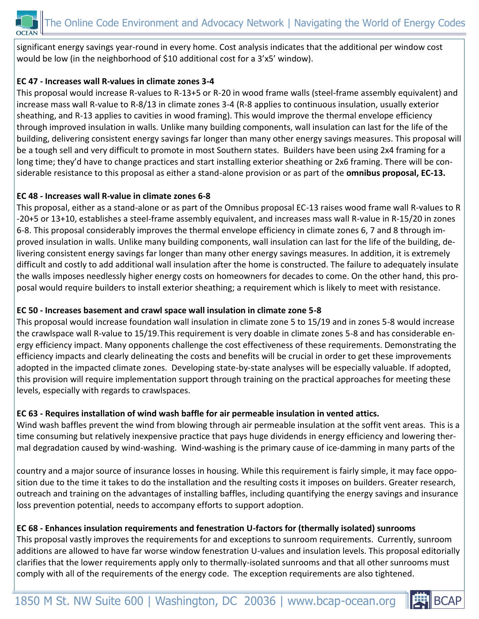

significant energy savings year-round in every home. Cost analysis indicates that the additional per window cost would be low (in the neighborhood of \$10 additional cost for a 3'x5' window).

## **EC 47 - Increases wall R-values in climate zones 3-4**

This proposal would increase R-values to R-13+5 or R-20 in wood frame walls (steel-frame assembly equivalent) and increase mass wall R-value to R-8/13 in climate zones 3-4 (R-8 applies to continuous insulation, usually exterior sheathing, and R-13 applies to cavities in wood framing). This would improve the thermal envelope efficiency through improved insulation in walls. Unlike many building components, wall insulation can last for the life of the building, delivering consistent energy savings far longer than many other energy savings measures. This proposal will be a tough sell and very difficult to promote in most Southern states. Builders have been using 2x4 framing for a long time; they'd have to change practices and start installing exterior sheathing or 2x6 framing. There will be considerable resistance to this proposal as either a stand-alone provision or as part of the **omnibus proposal, EC-13.**

#### **EC 48 - Increases wall R-value in climate zones 6-8**

This proposal, either as a stand-alone or as part of the Omnibus proposal EC-13 raises wood frame wall R-values to R -20+5 or 13+10, establishes a steel-frame assembly equivalent, and increases mass wall R-value in R-15/20 in zones 6-8. This proposal considerably improves the thermal envelope efficiency in climate zones 6, 7 and 8 through improved insulation in walls. Unlike many building components, wall insulation can last for the life of the building, delivering consistent energy savings far longer than many other energy savings measures. In addition, it is extremely difficult and costly to add additional wall insulation after the home is constructed. The failure to adequately insulate the walls imposes needlessly higher energy costs on homeowners for decades to come. On the other hand, this proposal would require builders to install exterior sheathing; a requirement which is likely to meet with resistance.

#### **EC 50 - Increases basement and crawl space wall insulation in climate zone 5-8**

This proposal would increase foundation wall insulation in climate zone 5 to 15/19 and in zones 5-8 would increase the crawlspace wall R-value to 15/19.This requirement is very doable in climate zones 5-8 and has considerable energy efficiency impact. Many opponents challenge the cost effectiveness of these requirements. Demonstrating the efficiency impacts and clearly delineating the costs and benefits will be crucial in order to get these improvements adopted in the impacted climate zones. Developing state-by-state analyses will be especially valuable. If adopted, this provision will require implementation support through training on the practical approaches for meeting these levels, especially with regards to crawlspaces.

## **EC 63 - Requires installation of wind wash baffle for air permeable insulation in vented attics.**

Wind wash baffles prevent the wind from blowing through air permeable insulation at the soffit vent areas. This is a time consuming but relatively inexpensive practice that pays huge dividends in energy efficiency and lowering thermal degradation caused by wind-washing. Wind-washing is the primary cause of ice-damming in many parts of the

country and a major source of insurance losses in housing. While this requirement is fairly simple, it may face opposition due to the time it takes to do the installation and the resulting costs it imposes on builders. Greater research, outreach and training on the advantages of installing baffles, including quantifying the energy savings and insurance loss prevention potential, needs to accompany efforts to support adoption.

## **EC 68 - Enhances insulation requirements and fenestration U-factors for (thermally isolated) sunrooms**

This proposal vastly improves the requirements for and exceptions to sunroom requirements. Currently, sunroom additions are allowed to have far worse window fenestration U-values and insulation levels. This proposal editorially clarifies that the lower requirements apply only to thermally-isolated sunrooms and that all other sunrooms must comply with all of the requirements of the energy code. The exception requirements are also tightened.

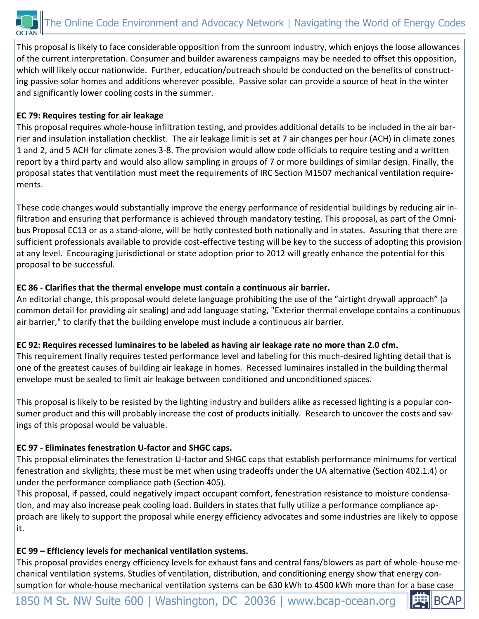

This proposal is likely to face considerable opposition from the sunroom industry, which enjoys the loose allowances of the current interpretation. Consumer and builder awareness campaigns may be needed to offset this opposition, which will likely occur nationwide. Further, education/outreach should be conducted on the benefits of constructing passive solar homes and additions wherever possible. Passive solar can provide a source of heat in the winter and significantly lower cooling costs in the summer.

## **EC 79: Requires testing for air leakage**

This proposal requires whole-house infiltration testing, and provides additional details to be included in the air barrier and insulation installation checklist. The air leakage limit is set at 7 air changes per hour (ACH) in climate zones 1 and 2, and 5 ACH for climate zones 3-8. The provision would allow code officials to require testing and a written report by a third party and would also allow sampling in groups of 7 or more buildings of similar design. Finally, the proposal states that ventilation must meet the requirements of IRC Section M1507 mechanical ventilation requirements.

These code changes would substantially improve the energy performance of residential buildings by reducing air infiltration and ensuring that performance is achieved through mandatory testing. This proposal, as part of the Omnibus Proposal EC13 or as a stand-alone, will be hotly contested both nationally and in states. Assuring that there are sufficient professionals available to provide cost-effective testing will be key to the success of adopting this provision at any level. Encouraging jurisdictional or state adoption prior to 2012 will greatly enhance the potential for this proposal to be successful.

## **EC 86 - Clarifies that the thermal envelope must contain a continuous air barrier.**

An editorial change, this proposal would delete language prohibiting the use of the "airtight drywall approach" (a common detail for providing air sealing) and add language stating, "Exterior thermal envelope contains a continuous air barrier," to clarify that the building envelope must include a continuous air barrier.

## **EC 92: Requires recessed luminaires to be labeled as having air leakage rate no more than 2.0 cfm.**

This requirement finally requires tested performance level and labeling for this much-desired lighting detail that is one of the greatest causes of building air leakage in homes. Recessed luminaires installed in the building thermal envelope must be sealed to limit air leakage between conditioned and unconditioned spaces.

This proposal is likely to be resisted by the lighting industry and builders alike as recessed lighting is a popular consumer product and this will probably increase the cost of products initially. Research to uncover the costs and savings of this proposal would be valuable.

## **EC 97 - Eliminates fenestration U-factor and SHGC caps.**

This proposal eliminates the fenestration U-factor and SHGC caps that establish performance minimums for vertical fenestration and skylights; these must be met when using tradeoffs under the UA alternative (Section 402.1.4) or under the performance compliance path (Section 405).

This proposal, if passed, could negatively impact occupant comfort, fenestration resistance to moisture condensation, and may also increase peak cooling load. Builders in states that fully utilize a performance compliance approach are likely to support the proposal while energy efficiency advocates and some industries are likely to oppose it.

## **EC 99 – Efficiency levels for mechanical ventilation systems.**

This proposal provides energy efficiency levels for exhaust fans and central fans/blowers as part of whole-house mechanical ventilation systems. Studies of ventilation, distribution, and conditioning energy show that energy consumption for whole-house mechanical ventilation systems can be 630 kWh to 4500 kWh more than for a base case